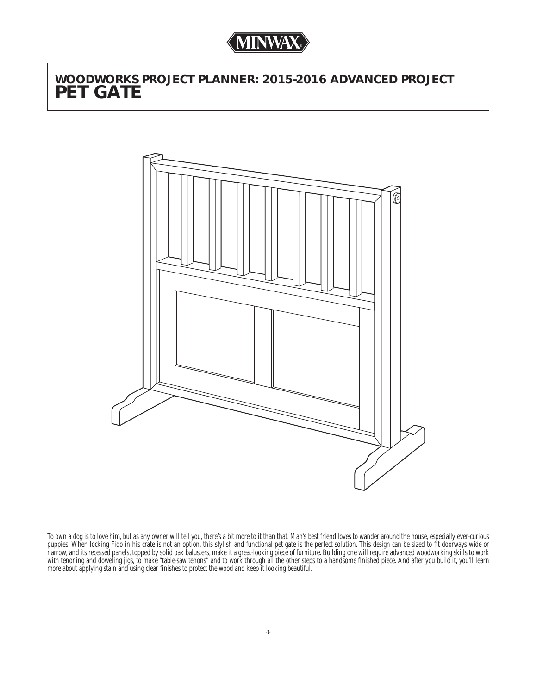# *WOODWORKS PROJECT PLANNER: 2015-2016 ADVANCED PROJECT PET GATE*



To own a dog is to love him, but as any owner will tell you, there's a bit more to it than that. Man's best friend loves to wander around the house, especially ever-curious puppies. When locking Fido in his crate is not an option, this stylish and functional pet gate is the perfect solution. This design can be sized to fi t doorways wide or narrow, and its recessed panels, topped by solid oak balusters, make it a great-looking piece of furniture. Building one will require advanced woodworking skills to work with tenoning and doweling jigs, to make "table-saw tenons" and to work through all the other steps to a handsome finished piece. And after you build it, you'll learn more about applying stain and using clear finishes to protect the wood and keep it looking beautiful.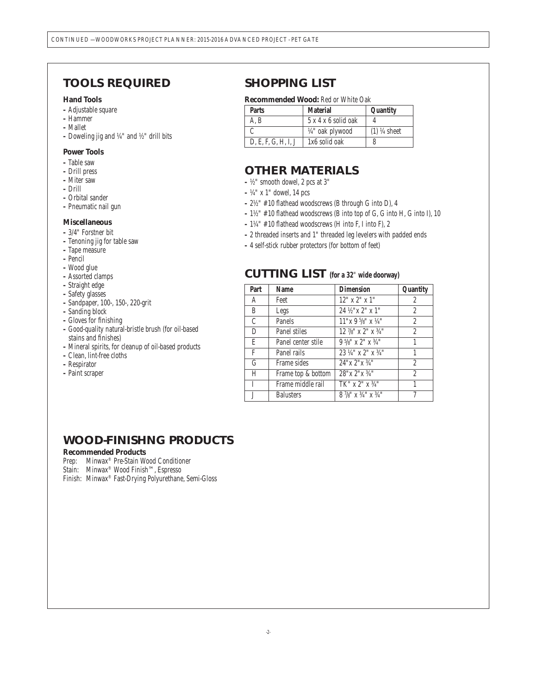### *TOOLS REQUIRED*

#### **Hand Tools**

- Adjustable square
- Hammer
- Mallet
- Doweling jig and ¼" and ½" drill bits

#### **Power Tools**

- Table saw
- Drill press
- Miter saw
- Drill
- Orbital sander
- Pneumatic nail gun

#### **Miscellaneous**

- 3/4" Forstner bit
- Tenoning jig for table saw
- Tape measure
- Pencil
- Wood glue
- Assorted clamps
- Straight edge
- Safety glasses
- Sandpaper, 100-, 150-, 220-grit
- Sanding block
- Gloves for finishing
- Good-quality natural-bristle brush (for oil-based stains and finishes)
- Mineral spirits, for cleanup of oil-based products
- Clean, lint-free cloths
- Respirator
- Paint scraper

### *SHOPPING LIST*

#### **Recommended Wood:** Red or White Oak

| <b>Parts</b>        | <b>Material</b>             | Quantity      |
|---------------------|-----------------------------|---------------|
| A. B                | $5x4x6$ solid oak           |               |
|                     | $\frac{1}{4}$ " oak plywood | $(1)$ ¼ sheet |
| D, E, F, G, H, I, J | 1x6 solid oak               |               |

### *OTHER MATERIALS*

- ½" smooth dowel, 2 pcs at 3"
- ¼" x 1" dowel, 14 pcs
- $2\frac{1}{2}$  #10 flathead woodscrews (B through G into D), 4
- $-1\frac{1}{2}$ " #10 flathead woodscrews (B into top of G, G into H, G into I), 10
- $-1\frac{1}{4}$ " #10 flathead woodscrews (H into F, I into F), 2
- 2 threaded inserts and 1" threaded leg levelers with padded ends
- 4 self-stick rubber protectors (for bottom of feet)

### *CUTTING LIST* **(for a 32**" **wide doorway)**

| Part | <b>Name</b>         | <b>Dimension</b>                         | Quantity       |
|------|---------------------|------------------------------------------|----------------|
| A    | Feet                | $12"$ x $2"$ x $1"$                      | 2              |
| B    | Legs                | 24 1/2" x 2" x 1"                        | 2              |
| C    | <b>Panels</b>       | $11"x 9'$ /8" $x 1/4"$                   | $\overline{c}$ |
| D    | <b>Panel stiles</b> | $12\frac{7}{8}$ " x 2" x $\frac{3}{4}$ " | $\overline{c}$ |
| E    | Panel center stile  | $9\frac{5}{8}$ " x 2" x $\frac{3}{4}$ "  | 1              |
| F    | Panel rails         | $23\frac{1}{4}$ " x $2$ " x $3/4$ "      |                |
| G    | Frame sides         | $24''$ x $2''$ x $3/4''$                 | $\overline{c}$ |
| H    | Frame top & bottom  | $28"$ x $2"$ x $3/4"$                    | $\overline{2}$ |
| L    | Frame middle rail   | $TK''$ x $2''$ x $3/4''$                 |                |
| Ī    | <b>Balusters</b>    | $8\frac{7}{8}$ " x $3/4$ " x $3/4$ "     | 7              |

### *WOOD-FINISHNG PRODUCTS*

### **Recommended Products**

Prep: Minwax® Pre-Stain Wood Conditioner

Stain: Minwax® Wood Finish™, Espresso

Finish: Minwax® Fast-Drying Polyurethane, Semi-Gloss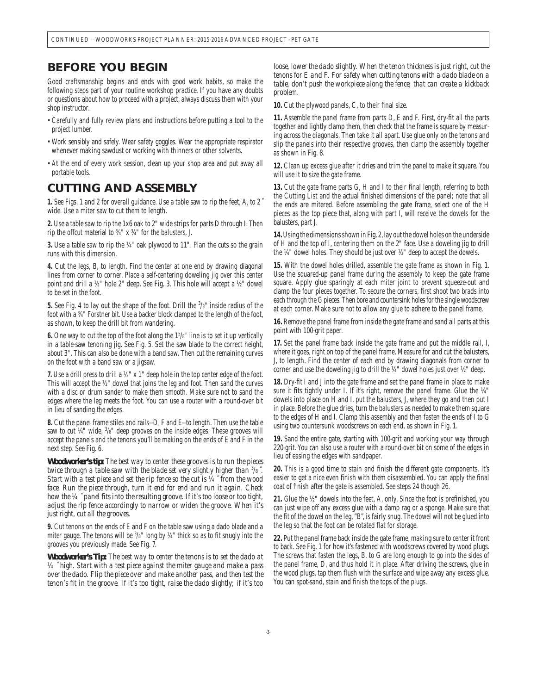### *BEFORE YOU BEGIN*

Good craftsmanship begins and ends with good work habits, so make the following steps part of your routine workshop practice. If you have any doubts or questions about how to proceed with a project, always discuss them with your shop instructor.

- Carefully and fully review plans and instructions before putting a tool to the project lumber.
- Work sensibly and safely. Wear safety goggles. Wear the appropriate respirator whenever making sawdust or working with thinners or other solvents.
- At the end of every work session, clean up your shop area and put away all portable tools.

### *CUTTING AND ASSEMBLY*

**1.** See Figs. 1 and 2 for overall guidance. Use a table saw to rip the feet, A, to 2*˝* wide. Use a miter saw to cut them to length.

**2.** Use a table saw to rip the 1x6 oak to 2" wide strips for parts D through I. Then rip the offcut material to ¾" x ¾" for the balusters, J.

**3.** Use a table saw to rip the ¼" oak plywood to 11". Plan the cuts so the grain runs with this dimension.

**4.** Cut the legs, B, to length. Find the center at one end by drawing diagonal lines from corner to corner. Place a self-centering doweling jig over this center point and drill a ½" hole 2" deep. See Fig. 3. This hole will accept a ½" dowel to be set in the foot.

**5.** See Fig. 4 to lay out the shape of the foot. Drill the <sup>3</sup> /8" inside radius of the foot with a ¾" Forstner bit. Use a backer block clamped to the length of the foot, as shown, to keep the drill bit from wandering.

**6.** One way to cut the top of the foot along the  $1<sup>5</sup>/s$ " line is to set it up vertically in a table-saw tenoning jig. See Fig. 5. Set the saw blade to the correct height, about 3". This can also be done with a band saw. Then cut the remaining curves on the foot with a band saw or a jigsaw.

**7.** Use a drill press to drill a ½" x 1" deep hole in the top center edge of the foot. This will accept the ½" dowel that joins the leg and foot. Then sand the curves with a disc or drum sander to make them smooth. Make sure not to sand the edges where the leg meets the foot. You can use a router with a round-over bit in lieu of sanding the edges.

**8.** Cut the panel frame stiles and rails—D, F and E—to length. Then use the table saw to cut  $44$ " wide,  $3/8$ " deep grooves on the inside edges. These grooves will accept the panels and the tenons you'll be making on the ends of E and F in the next step. See Fig. 6.

*Woodworker's tip: The best way to center these grooves is to run the pieces twice through a table saw with the blade set very slightly higher than*  $3/8$ *. Start with a test piece and set the rip fence so the cut is ¼ ˝ from the wood face. Run the piece through, turn it end for end and run it again. Check how the ¼*  $\tilde{a}$  *panel fits into the resulting groove. If it's too loose or too tight, adjust the rip fence accordingly to narrow or widen the groove. When it's just right, cut all the grooves.*

**9.** Cut tenons on the ends of E and F on the table saw using a dado blade and a miter gauge. The tenons will be  $3/8$ " long by  $\frac{1}{4}$ " thick so as to fit snugly into the grooves you previously made. See Fig. 7.

*Woodworker's Tip: The best way to center the tenons is to set the dado at ¼ ˝ high. Start with a test piece against the miter gauge and make a pass over the dado. Flip the piece over and make another pass, and then test the*  tenon's fit in the groove. If it's too tight, raise the dado slightly; if it's too

*loose, lower the dado slightly. When the tenon thickness is just right, cut the tenons for E and F. For safety when cutting tenons with a dado blade on a table, don't push the workpiece along the fence; that can create a kickback problem.*

10. Cut the plywood panels, C, to their final size.

**11.** Assemble the panel frame from parts D, E and F. First, dry-fi t all the parts together and lightly clamp them, then check that the frame is square by measuring across the diagonals. Then take it all apart. Use glue only on the tenons and slip the panels into their respective grooves, then clamp the assembly together as shown in Fig. 8.

**12.** Clean up excess glue after it dries and trim the panel to make it square. You will use it to size the gate frame.

13. Cut the gate frame parts G, H and I to their final length, referring to both the Cutting List and the actual finished dimensions of the panel; note that all the ends are mitered. Before assembling the gate frame, select one of the H pieces as the top piece that, along with part I, will receive the dowels for the balusters, part J.

**14.** Using the dimensions shown in Fig. 2, lay out the dowel holes on the underside of H and the top of I, centering them on the 2" face. Use a doweling jig to drill the ¼" dowel holes. They should be just over ½" deep to accept the dowels.

**15.** With the dowel holes drilled, assemble the gate frame as shown in Fig. 1. Use the squared-up panel frame during the assembly to keep the gate frame square. Apply glue sparingly at each miter joint to prevent squeeze-out and clamp the four pieces together. To secure the corners, first shoot two brads into each through the G pieces. Then bore and countersink holes for the single woodscrew at each corner. Make sure not to allow any glue to adhere to the panel frame.

**16.** Remove the panel frame from inside the gate frame and sand all parts at this point with 100-grit paper.

**17.** Set the panel frame back inside the gate frame and put the middle rail, I, where it goes, right on top of the panel frame. Measure for and cut the balusters, J, to length. Find the center of each end by drawing diagonals from corner to corner and use the doweling jig to drill the ¼" dowel holes just over ½" deep.

**18.** Dry-fi t I and J into the gate frame and set the panel frame in place to make sure it fits tightly under I. If it's right, remove the panel frame. Glue the  $\frac{1}{4}$ " dowels into place on H and I, put the balusters, J, where they go and then put I in place. Before the glue dries, turn the balusters as needed to make them square to the edges of H and I. Clamp this assembly and then fasten the ends of I to G using two countersunk woodscrews on each end, as shown in Fig. 1.

**19.** Sand the entire gate, starting with 100-grit and working your way through 220-grit. You can also use a router with a round-over bit on some of the edges in lieu of easing the edges with sandpaper.

**20.** This is a good time to stain and finish the different gate components. It's easier to get a nice even finish with them disassembled. You can apply the final coat of finish after the gate is assembled. See steps 24 though 26.

**21.** Glue the  $\frac{1}{2}$ " dowels into the feet, A, only. Since the foot is prefinished, you can just wipe off any excess glue with a damp rag or a sponge. Make sure that the fit of the dowel on the leg, "B", is fairly snug. The dowel will not be glued into the leg so that the foot can be rotated flat for storage.

**22.** Put the panel frame back inside the gate frame, making sure to center it front to back. See Fig. 1 for how it's fastened with woodscrews covered by wood plugs. The screws that fasten the legs, B, to G are long enough to go into the sides of the panel frame, D, and thus hold it in place. After driving the screws, glue in the wood plugs, tap them flush with the surface and wipe away any excess glue. You can spot-sand, stain and finish the tops of the plugs.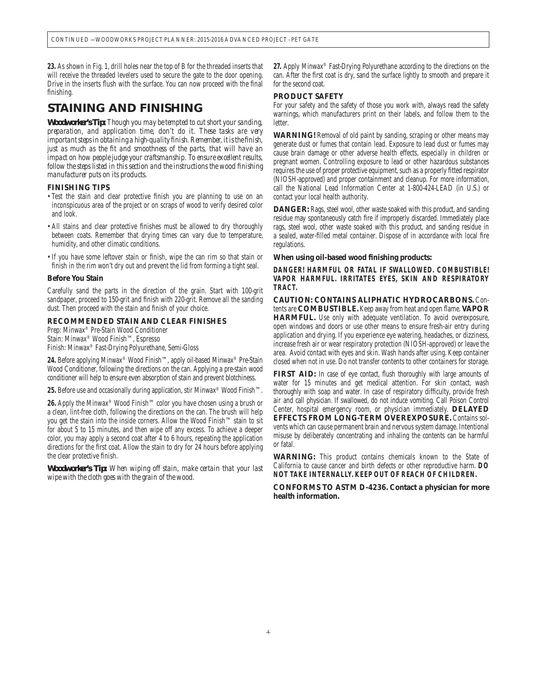**23.** As shown in Fig. 1, drill holes near the top of B for the threaded inserts that will receive the threaded levelers used to secure the gate to the door opening. Drive in the inserts flush with the surface. You can now proceed with the final finishing.

### *STAINING AND FINISHING*

*Woodworker's Tip: Though you may be tempted to cut short your sanding, preparation, and application time, don't do it. These tasks are very important steps in obtaining a high-quality finish. Remember, it is the finish, just as much as the fit and smoothness of the parts, that will have an impact on how people judge your craftsmanship. To ensure excellent results, follow the steps listed in this section and the instructions the wood finishing manufacturer puts on its products.*

#### **FINISHING TIPS**

- Test the stain and clear protective finish you are planning to use on an inconspicuous area of the project or on scraps of wood to verify desired color and look.
- All stains and clear protective finishes must be allowed to dry thoroughly between coats. Remember that drying times can vary due to temperature, humidity, and other climatic conditions.
- If you have some leftover stain or finish, wipe the can rim so that stain or finish in the rim won't dry out and prevent the lid from forming a tight seal.

#### **Before You Stain**

Carefully sand the parts in the direction of the grain. Start with 100-grit sandpaper, proceed to 150-grit and finish with 220-grit. Remove all the sanding dust. Then proceed with the stain and finish of your choice.

#### **RECOMMENDED STAIN AND CLEAR FINISHES**

Prep: Minwax® Pre-Stain Wood Conditioner Stain: Minwax® Wood Finish™, Espresso Finish: Minwax® Fast-Drying Polyurethane, Semi-Gloss

**24.** Before applying Minwax® Wood Finish™, apply oil-based Minwax® Pre-Stain Wood Conditioner, following the directions on the can. Applying a pre-stain wood conditioner will help to ensure even absorption of stain and prevent blotchiness.

**25.** Before use and occasionally during application, stir Minwax® Wood Finish™.

**26.** Apply the Minwax® Wood Finish™ color you have chosen using a brush or a clean, lint-free cloth, following the directions on the can. The brush will help you get the stain into the inside corners. Allow the Wood Finish™ stain to sit for about 5 to 15 minutes, and then wipe off any excess. To achieve a deeper color, you may apply a second coat after 4 to 6 hours, repeating the application directions for the first coat. Allow the stain to dry for 24 hours before applying the clear protective finish.

*Woodworker's Tip: When wiping off stain, make certain that your last wipe with the cloth goes with the grain of the wood.* 

**27.** Apply Minwax® Fast-Drying Polyurethane according to the directions on the can. After the first coat is dry, sand the surface lightly to smooth and prepare it for the second coat.

#### **PRODUCT SAFETY**

For your safety and the safety of those you work with, always read the safety warnings, which manufacturers print on their labels, and follow them to the letter.

**WARNING!** Removal of old paint by sanding, scraping or other means may generate dust or fumes that contain lead. Exposure to lead dust or fumes may cause brain damage or other adverse health effects, especially in children or pregnant women. Controlling exposure to lead or other hazardous substances requires the use of proper protective equipment, such as a properly fitted respirator (NIOSH-approved) and proper containment and cleanup. For more information, call the National Lead Information Center at 1-800-424-LEAD (in U.S.) or contact your local health authority.

**DANGER:** Rags, steel wool, other waste soaked with this product, and sanding residue may spontaneously catch fire if improperly discarded. Immediately place rags, steel wool, other waste soaked with this product, and sanding residue in a sealed, water-filled metal container. Dispose of in accordance with local fire regulations.

#### **When using oil-based wood finishing products:**

**DANGER! HARMFUL OR FATAL IF SWALLOWED. COMBUSTIBLE! VAPOR HARMFUL. IRRITATES EYES, SKIN AND RESPIRATORY TRACT.**

**CAUTION: CONTAINS ALIPHATIC HYDROCARBONS.** Contents are **COMBUSTIBLE**. Keep away from heat and open flame. **VAPOR HARMFUL.** Use only with adequate ventilation. To avoid overexposure, open windows and doors or use other means to ensure fresh-air entry during application and drying. If you experience eye watering, headaches, or dizziness, increase fresh air or wear respiratory protection (NIOSH-approved) or leave the area. Avoid contact with eyes and skin. Wash hands after using. Keep container closed when not in use. Do not transfer contents to other containers for storage.

FIRST AID: In case of eye contact, flush thoroughly with large amounts of water for 15 minutes and get medical attention. For skin contact, wash thoroughly with soap and water. In case of respiratory difficulty, provide fresh air and call physician. If swallowed, do not induce vomiting. Call Poison Control Center, hospital emergency room, or physician immediately. **DELAYED EFFECTS FROM LONG-TERM OVEREXPOSURE.** Contains solvents which can cause permanent brain and nervous system damage. Intentional misuse by deliberately concentrating and inhaling the contents can be harmful or fatal.

**WARNING:** This product contains chemicals known to the State of California to cause cancer and birth defects or other reproductive harm. **DO NOT TAKE INTERNALLY. KEEP OUT OF REACH OF CHILDREN.** 

**CONFORMS TO ASTM D-4236. Contact a physician for more health information.**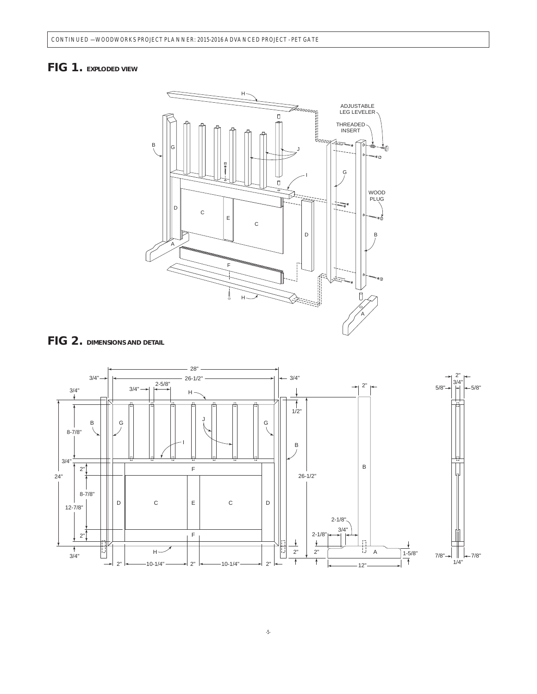## *FIG 1. EXPLODED VIEW*





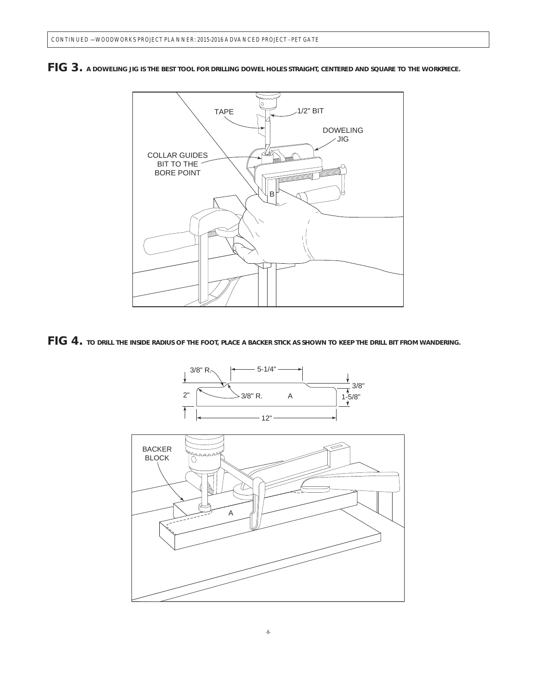

*FIG 3. A DOWELING JIG IS THE BEST TOOL FOR DRILLING DOWEL HOLES STRAIGHT, CENTERED AND SQUARE TO THE WORKPIECE.*



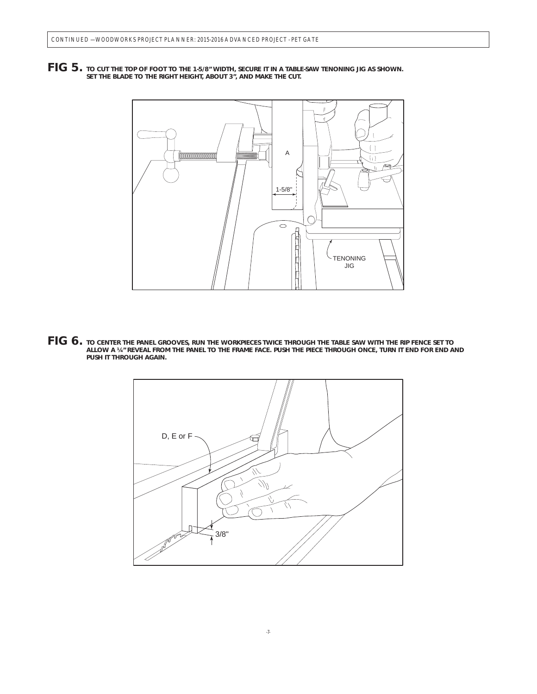*FIG 5. TO CUT THE TOP OF FOOT TO THE 1-5/8" WIDTH, SECURE IT IN A TABLE-SAW TENONING JIG AS SHOWN. SET THE BLADE TO THE RIGHT HEIGHT, ABOUT 3", AND MAKE THE CUT.*



*FIG 6. TO CENTER THE PANEL GROOVES, RUN THE WORKPIECES TWICE THROUGH THE TABLE SAW WITH THE RIP FENCE SET TO ALLOW A ¼" REVEAL FROM THE PANEL TO THE FRAME FACE. PUSH THE PIECE THROUGH ONCE, TURN IT END FOR END AND PUSH IT THROUGH AGAIN.*